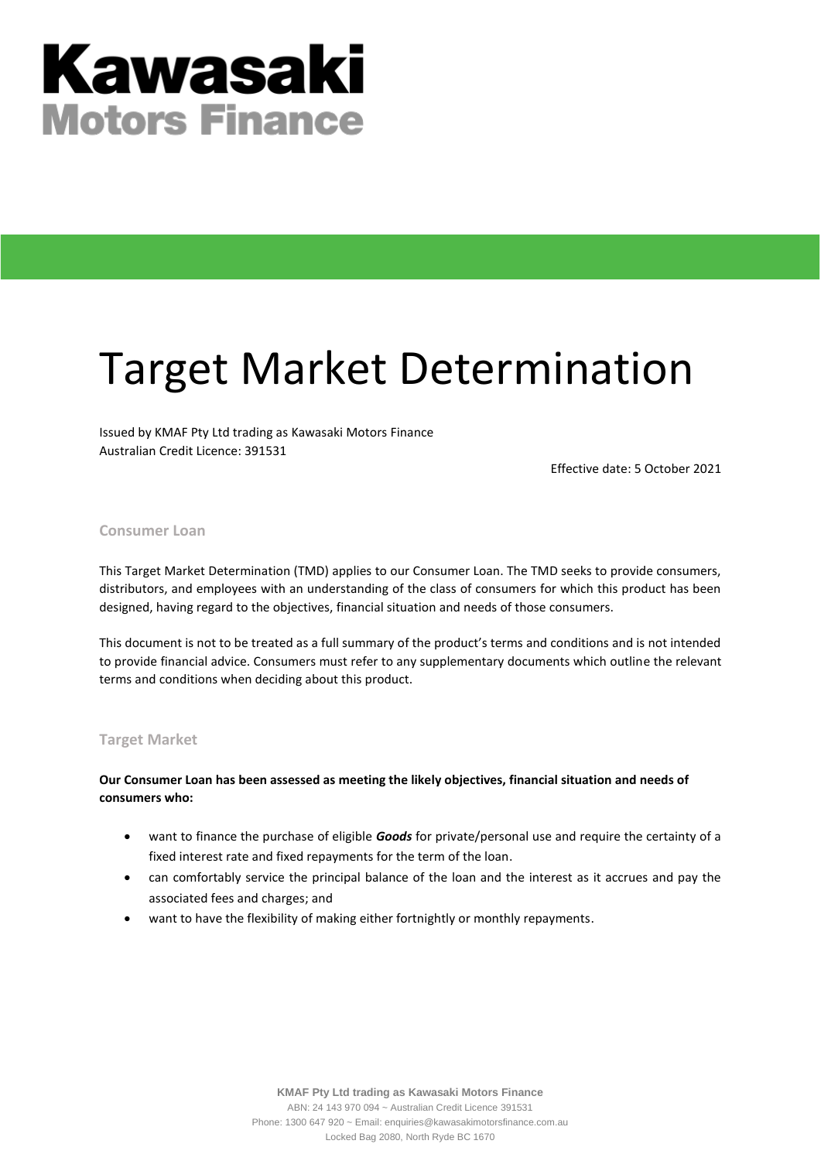# **Kawasaki Motors Finance**

## Target Market Determination

Issued by KMAF Pty Ltd trading as Kawasaki Motors Finance Australian Credit Licence: 391531

Effective date: 5 October 2021

#### **Consumer Loan**

This Target Market Determination (TMD) applies to our Consumer Loan. The TMD seeks to provide consumers, distributors, and employees with an understanding of the class of consumers for which this product has been designed, having regard to the objectives, financial situation and needs of those consumers.

This document is not to be treated as a full summary of the product's terms and conditions and is not intended to provide financial advice. Consumers must refer to any supplementary documents which outline the relevant terms and conditions when deciding about this product.

#### **Target Market**

#### **Our Consumer Loan has been assessed as meeting the likely objectives, financial situation and needs of consumers who:**

- want to finance the purchase of eligible *Goods* for private/personal use and require the certainty of a fixed interest rate and fixed repayments for the term of the loan.
- can comfortably service the principal balance of the loan and the interest as it accrues and pay the associated fees and charges; and
- want to have the flexibility of making either fortnightly or monthly repayments.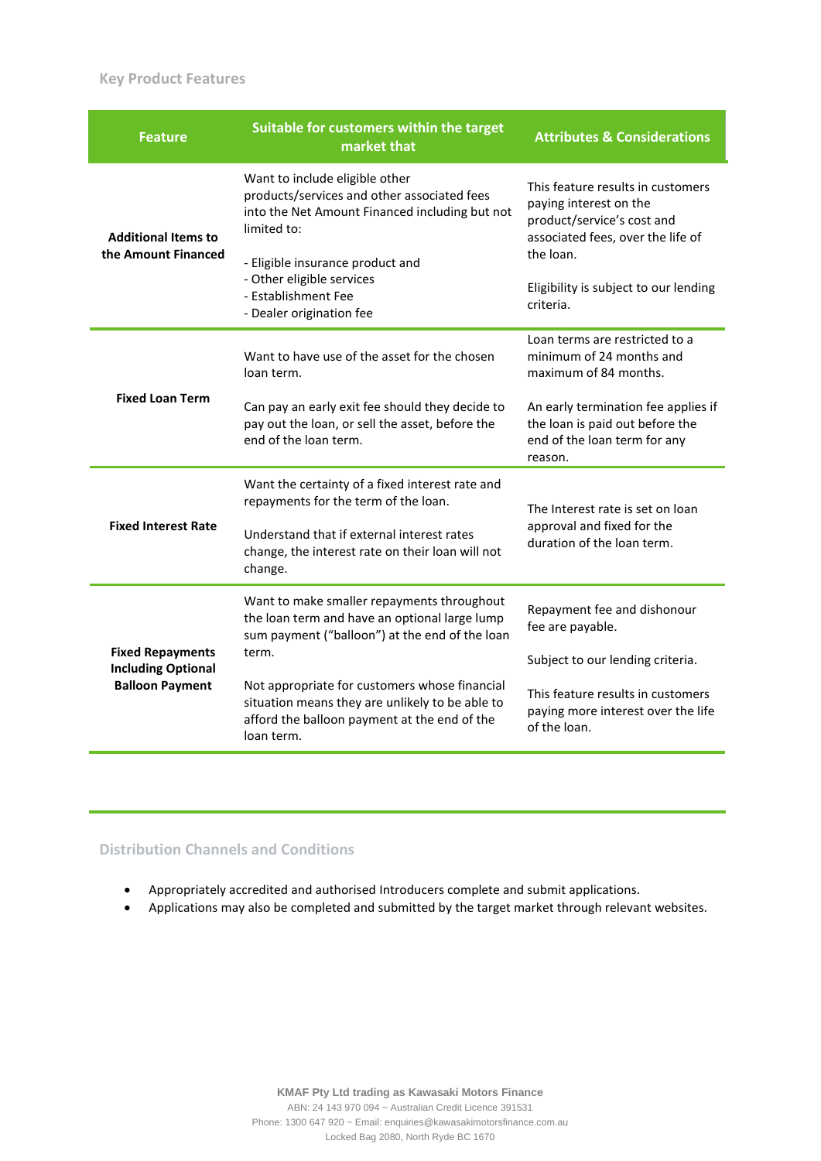#### **Key Product Features**

| <b>Feature</b>                                                                 | Suitable for customers within the target<br>market that                                                                                                        | <b>Attributes &amp; Considerations</b>                                                                                         |  |
|--------------------------------------------------------------------------------|----------------------------------------------------------------------------------------------------------------------------------------------------------------|--------------------------------------------------------------------------------------------------------------------------------|--|
| <b>Additional Items to</b><br>the Amount Financed                              | Want to include eligible other<br>products/services and other associated fees<br>into the Net Amount Financed including but not<br>limited to:                 | This feature results in customers<br>paying interest on the<br>product/service's cost and<br>associated fees, over the life of |  |
|                                                                                | - Eligible insurance product and<br>- Other eligible services<br>- Establishment Fee<br>- Dealer origination fee                                               | the loan.<br>Eligibility is subject to our lending<br>criteria.                                                                |  |
| <b>Fixed Loan Term</b>                                                         | Want to have use of the asset for the chosen<br>loan term.                                                                                                     | Loan terms are restricted to a<br>minimum of 24 months and<br>maximum of 84 months.                                            |  |
|                                                                                | Can pay an early exit fee should they decide to<br>pay out the loan, or sell the asset, before the<br>end of the loan term.                                    | An early termination fee applies if<br>the loan is paid out before the<br>end of the loan term for any<br>reason.              |  |
| <b>Fixed Interest Rate</b>                                                     | Want the certainty of a fixed interest rate and<br>repayments for the term of the loan.                                                                        | The Interest rate is set on loan<br>approval and fixed for the<br>duration of the loan term.                                   |  |
|                                                                                | Understand that if external interest rates<br>change, the interest rate on their loan will not<br>change.                                                      |                                                                                                                                |  |
| <b>Fixed Repayments</b><br><b>Including Optional</b><br><b>Balloon Payment</b> | Want to make smaller repayments throughout<br>the loan term and have an optional large lump<br>sum payment ("balloon") at the end of the loan                  | Repayment fee and dishonour<br>fee are payable.                                                                                |  |
|                                                                                | term.                                                                                                                                                          | Subject to our lending criteria.                                                                                               |  |
|                                                                                | Not appropriate for customers whose financial<br>situation means they are unlikely to be able to<br>afford the balloon payment at the end of the<br>loan term. | This feature results in customers<br>paying more interest over the life<br>of the loan.                                        |  |

#### **Distribution Channels and Conditions**

- Appropriately accredited and authorised Introducers complete and submit applications.
- Applications may also be completed and submitted by the target market through relevant websites.

**KMAF Pty Ltd trading as Kawasaki Motors Finance**

ABN: 24 143 970 094 ~ Australian Credit Licence 391531 Phone: 1300 647 920 ~ Email: enquiries@kawasakimotorsfinance.com.au Locked Bag 2080, North Ryde BC 1670